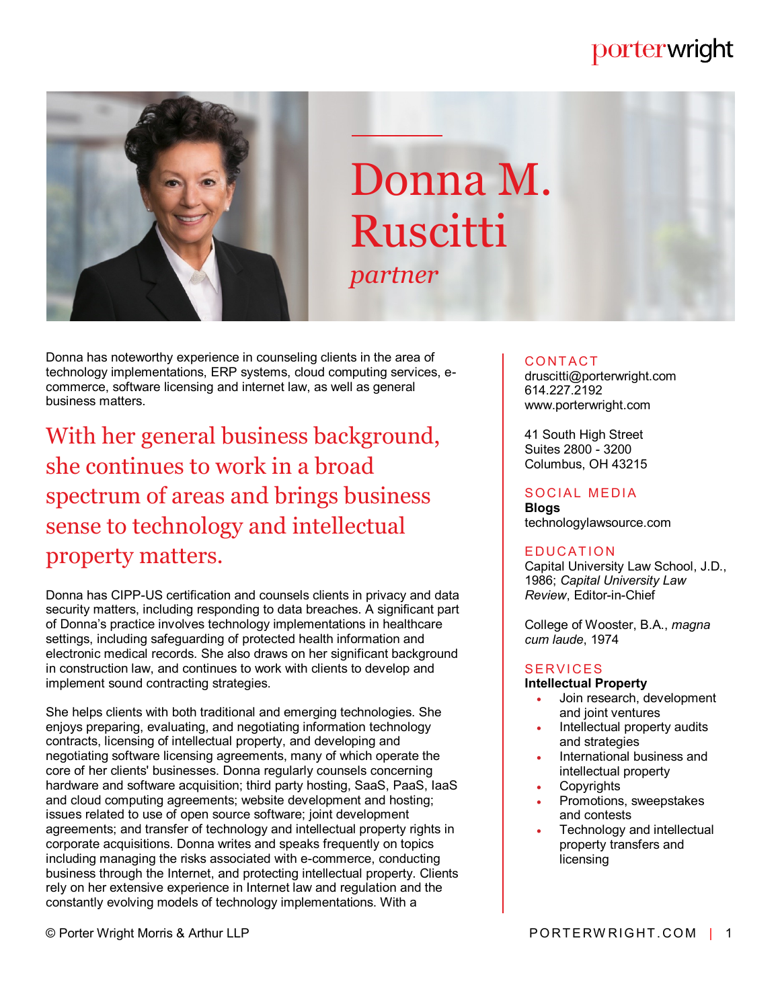# porterwright



# Donna M. Ruscitti *partner*

Donna has noteworthy experience in counseling clients in the area of technology implementations, ERP systems, cloud computing services, ecommerce, software licensing and internet law, as well as general business matters.

With her general business background, she continues to work in a broad spectrum of areas and brings business sense to technology and intellectual property matters.

Donna has CIPP-US certification and counsels clients in privacy and data security matters, including responding to data breaches. A significant part of Donna's practice involves technology implementations in healthcare settings, including safeguarding of protected health information and electronic medical records. She also draws on her significant background in construction law, and continues to work with clients to develop and implement sound contracting strategies.

She helps clients with both traditional and emerging technologies. She enjoys preparing, evaluating, and negotiating information technology contracts, licensing of intellectual property, and developing and negotiating software licensing agreements, many of which operate the core of her clients' businesses. Donna regularly counsels concerning hardware and software acquisition; third party hosting, SaaS, PaaS, IaaS and cloud computing agreements; website development and hosting; issues related to use of open source software; joint development agreements; and transfer of technology and intellectual property rights in corporate acquisitions. Donna writes and speaks frequently on topics including managing the risks associated with e-commerce, conducting business through the Internet, and protecting intellectual property. Clients rely on her extensive experience in Internet law and regulation and the constantly evolving models of technology implementations. With a

### **CONTACT**

druscitti@porterwright.com 614.227.2192 www.porterwright.com

41 South High Street Suites 2800 - 3200 Columbus, OH 43215

## SOCIAL MEDIA

**Blogs** technologylawsource.com

#### **EDUCATION**

Capital University Law School, J.D., 1986; *Capital University Law Review*, Editor-in-Chief

College of Wooster, B.A., *magna cum laude*, 1974

#### **SERVICES**

#### **Intellectual Property**

- Join research, development and joint ventures
- Intellectual property audits and strategies
- International business and intellectual property
- **Copyrights**
- Promotions, sweepstakes and contests
- Technology and intellectual property transfers and licensing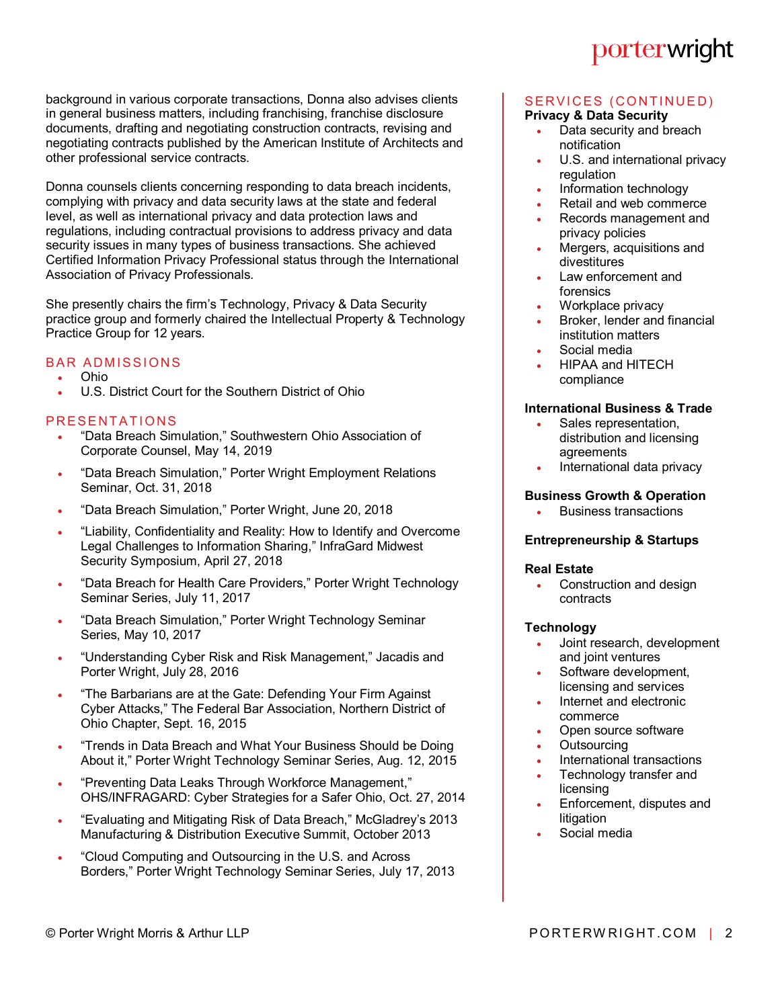background in various corporate transactions, Donna also advises clients in general business matters, including franchising, franchise disclosure documents, drafting and negotiating construction contracts, revising and negotiating contracts published by the American Institute of Architects and other professional service contracts.

Donna counsels clients concerning responding to data breach incidents, complying with privacy and data security laws at the state and federal level, as well as international privacy and data protection laws and regulations, including contractual provisions to address privacy and data security issues in many types of business transactions. She achieved Certified Information Privacy Professional status through the International Association of Privacy Professionals.

She presently chairs the firm's Technology, Privacy & Data Security practice group and formerly chaired the Intellectual Property & Technology Practice Group for 12 years.

#### **BAR ADMISSIONS**

- Ohio
- U.S. District Court for the Southern District of Ohio

#### PRESENTATIONS

- "Data Breach Simulation," Southwestern Ohio Association of Corporate Counsel, May 14, 2019
- "Data Breach Simulation," Porter Wright Employment Relations Seminar, Oct. 31, 2018
- "Data Breach Simulation," Porter Wright, June 20, 2018
- "Liability, Confidentiality and Reality: How to Identify and Overcome Legal Challenges to Information Sharing," InfraGard Midwest Security Symposium, April 27, 2018
- "Data Breach for Health Care Providers," Porter Wright Technology Seminar Series, July 11, 2017
- . "Data Breach Simulation," Porter Wright Technology Seminar Series, May 10, 2017
- "Understanding Cyber Risk and Risk Management," Jacadis and Porter Wright, July 28, 2016
- . "The Barbarians are at the Gate: Defending Your Firm Against Cyber Attacks," The Federal Bar Association, Northern District of Ohio Chapter, Sept. 16, 2015
- "Trends in Data Breach and What Your Business Should be Doing About it," Porter Wright Technology Seminar Series, Aug. 12, 2015
- "Preventing Data Leaks Through Workforce Management," OHS/INFRAGARD: Cyber Strategies for a Safer Ohio, Oct. 27, 2014
- "Evaluating and Mitigating Risk of Data Breach," McGladrey's 2013 Manufacturing & Distribution Executive Summit, October 2013
- "Cloud Computing and Outsourcing in the U.S. and Across Borders," Porter Wright Technology Seminar Series, July 17, 2013

# porterwright

#### SERVICES (CONTINUED) **Privacy & Data Security**

- Data security and breach notification
- U.S. and international privacy regulation
- Information technology
- Retail and web commerce
- Records management and privacy policies
- Mergers, acquisitions and divestitures
- Law enforcement and forensics
- Workplace privacy
- Broker, lender and financial institution matters
- Social media
- HIPAA and HITECH compliance

#### **International Business & Trade**

- Sales representation, distribution and licensing agreements
- International data privacy

#### **Business Growth & Operation**

Business transactions

#### **Entrepreneurship & Startups**

#### **Real Estate**

 Construction and design contracts

#### **Technology**

- Joint research, development and joint ventures
- Software development, licensing and services
- Internet and electronic commerce
- Open source software
- **Outsourcing**
- International transactions
- Technology transfer and licensing
- Enforcement, disputes and litigation
- Social media